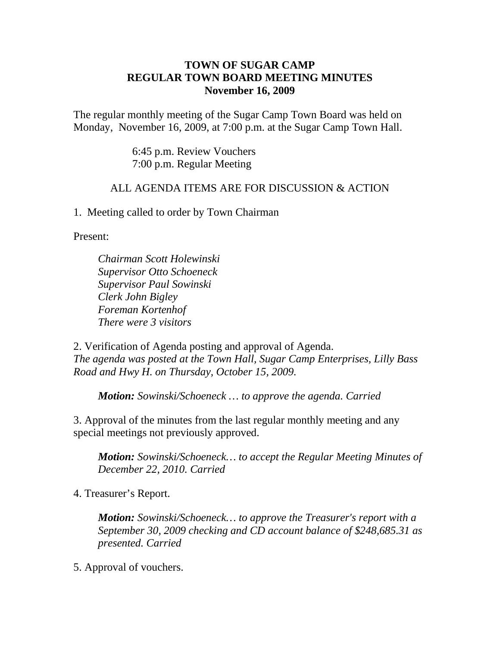## **TOWN OF SUGAR CAMP REGULAR TOWN BOARD MEETING MINUTES November 16, 2009**

The regular monthly meeting of the Sugar Camp Town Board was held on Monday, November 16, 2009, at 7:00 p.m. at the Sugar Camp Town Hall.

> 6:45 p.m. Review Vouchers 7:00 p.m. Regular Meeting

## ALL AGENDA ITEMS ARE FOR DISCUSSION & ACTION

1. Meeting called to order by Town Chairman

Present:

*Chairman Scott Holewinski Supervisor Otto Schoeneck Supervisor Paul Sowinski Clerk John Bigley Foreman Kortenhof There were 3 visitors*

2. Verification of Agenda posting and approval of Agenda. *The agenda was posted at the Town Hall, Sugar Camp Enterprises, Lilly Bass Road and Hwy H. on Thursday, October 15, 2009.*

*Motion: Sowinski/Schoeneck … to approve the agenda. Carried*

3. Approval of the minutes from the last regular monthly meeting and any special meetings not previously approved.

*Motion: Sowinski/Schoeneck… to accept the Regular Meeting Minutes of December 22, 2010. Carried*

4. Treasurer's Report.

*Motion: Sowinski/Schoeneck… to approve the Treasurer's report with a September 30, 2009 checking and CD account balance of \$248,685.31 as presented. Carried*

5. Approval of vouchers.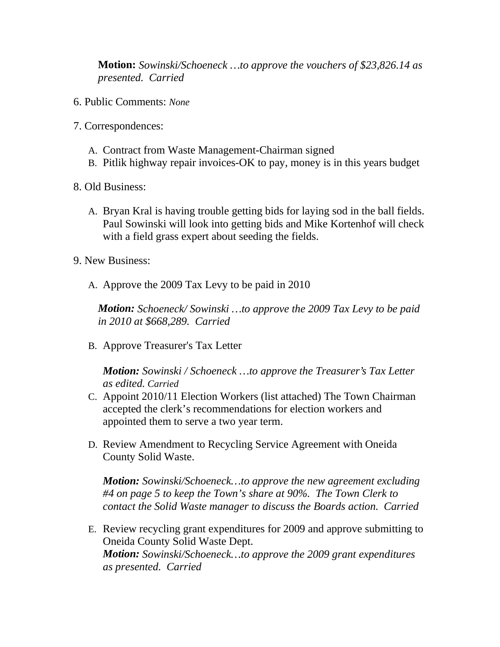**Motion:** *Sowinski/Schoeneck …to approve the vouchers of \$23,826.14 as presented. Carried*

- 6. Public Comments: *None*
- 7. Correspondences:
	- A. Contract from Waste Management-Chairman signed
	- B. Pitlik highway repair invoices-OK to pay, money is in this years budget
- 8. Old Business:
	- A. Bryan Kral is having trouble getting bids for laying sod in the ball fields. Paul Sowinski will look into getting bids and Mike Kortenhof will check with a field grass expert about seeding the fields.
- 9. New Business:
	- A. Approve the 2009 Tax Levy to be paid in 2010

*Motion: Schoeneck/ Sowinski …to approve the 2009 Tax Levy to be paid in 2010 at \$668,289. Carried*

B. Approve Treasurer's Tax Letter

*Motion: Sowinski / Schoeneck …to approve the Treasurer's Tax Letter as edited. Carried*

- C. Appoint 2010/11 Election Workers (list attached) The Town Chairman accepted the clerk's recommendations for election workers and appointed them to serve a two year term.
- D. Review Amendment to Recycling Service Agreement with Oneida County Solid Waste.

*Motion: Sowinski/Schoeneck…to approve the new agreement excluding #4 on page 5 to keep the Town's share at 90%. The Town Clerk to contact the Solid Waste manager to discuss the Boards action. Carried*

E. Review recycling grant expenditures for 2009 and approve submitting to Oneida County Solid Waste Dept. *Motion: Sowinski/Schoeneck…to approve the 2009 grant expenditures as presented. Carried*